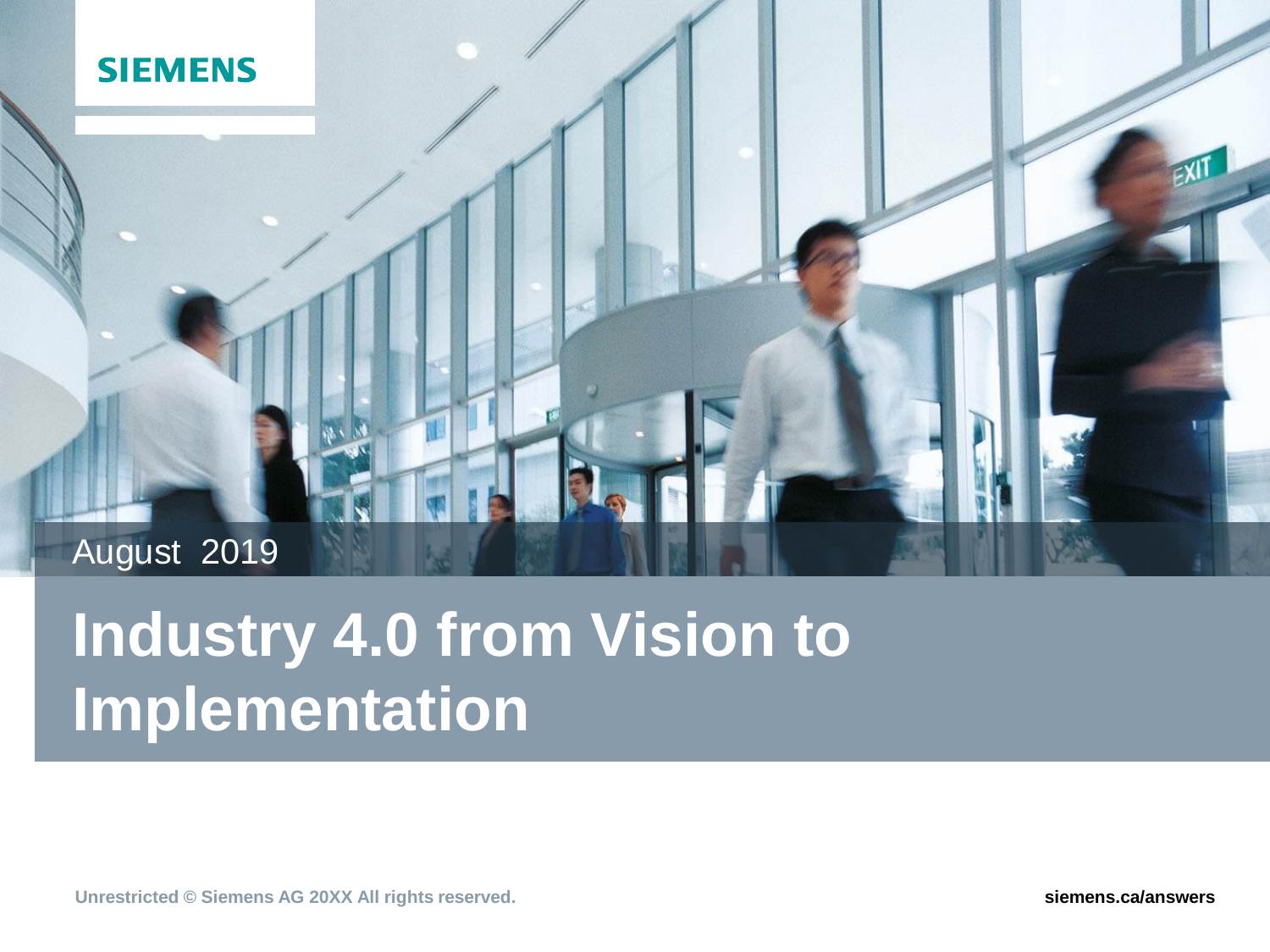

# August 2019

# **Industry 4.0 from Vision to Implementation**

**Unrestricted © Siemens AG 20XX All rights reserved. siemens.ca/answers**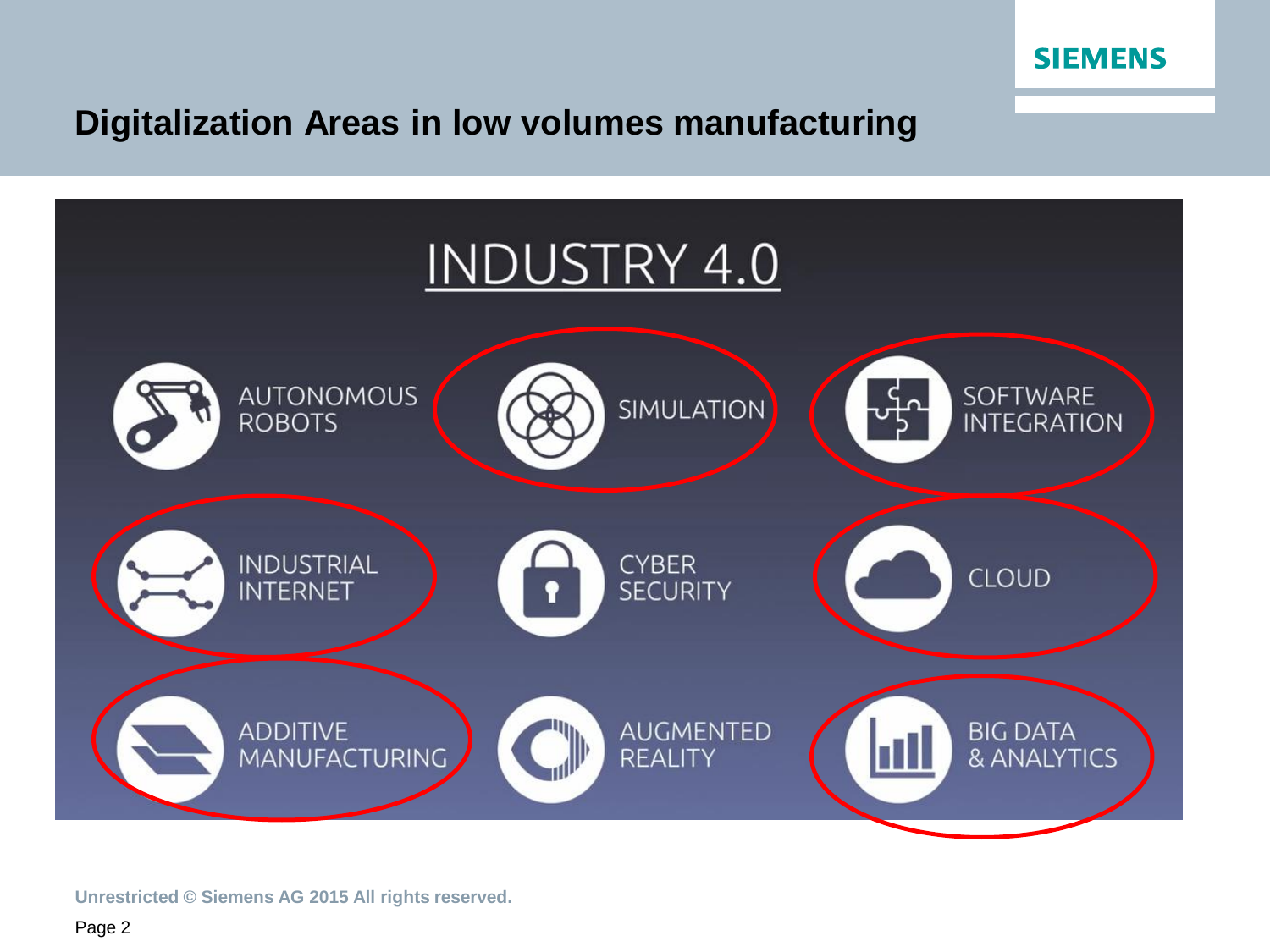

## **Digitalization Areas in low volumes manufacturing**



**Unrestricted © Siemens AG 2015 All rights reserved.**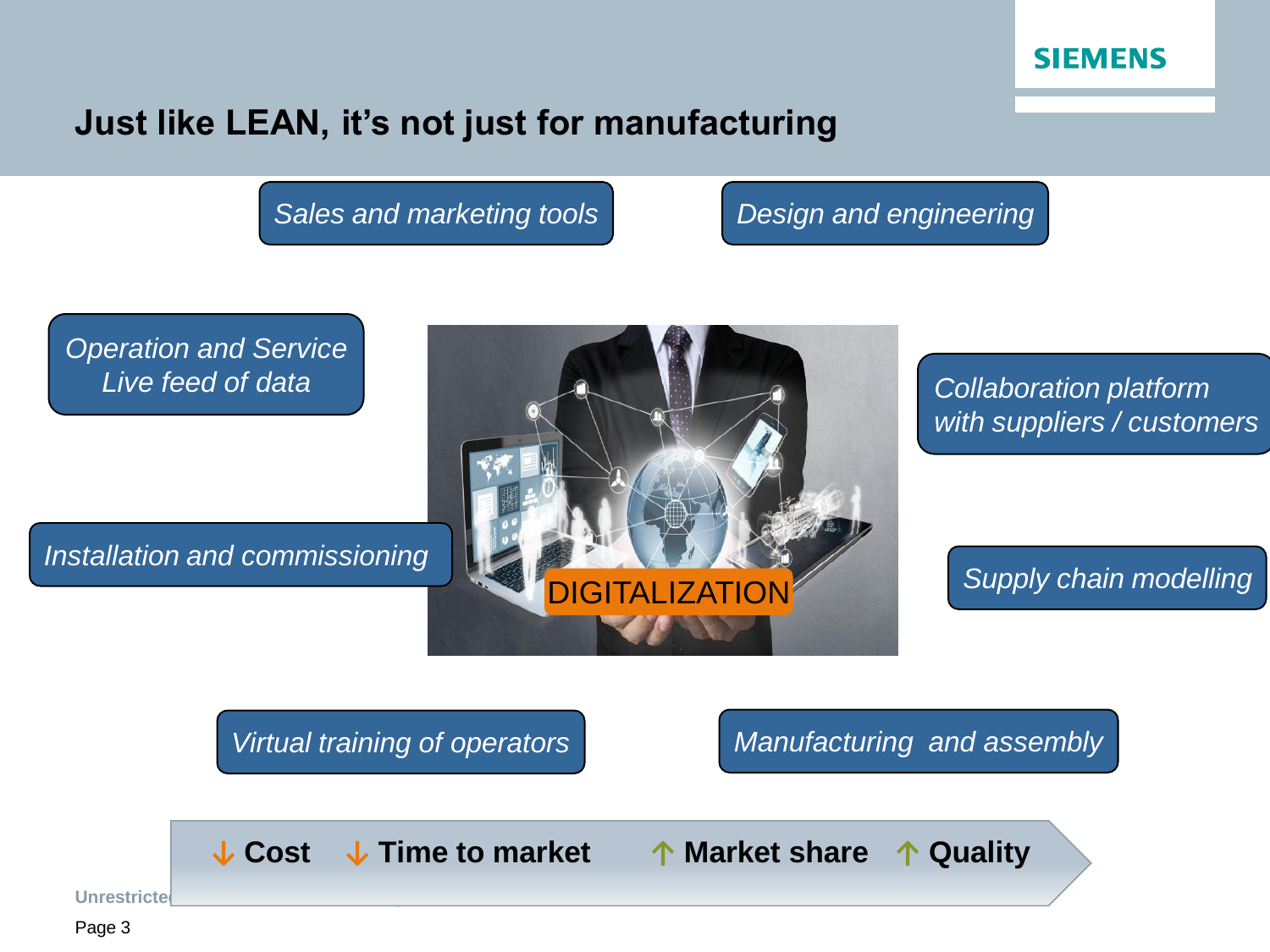

#### **Just like LEAN, it's not just for manufacturing**

*Sales and marketing tools Design and engineering*

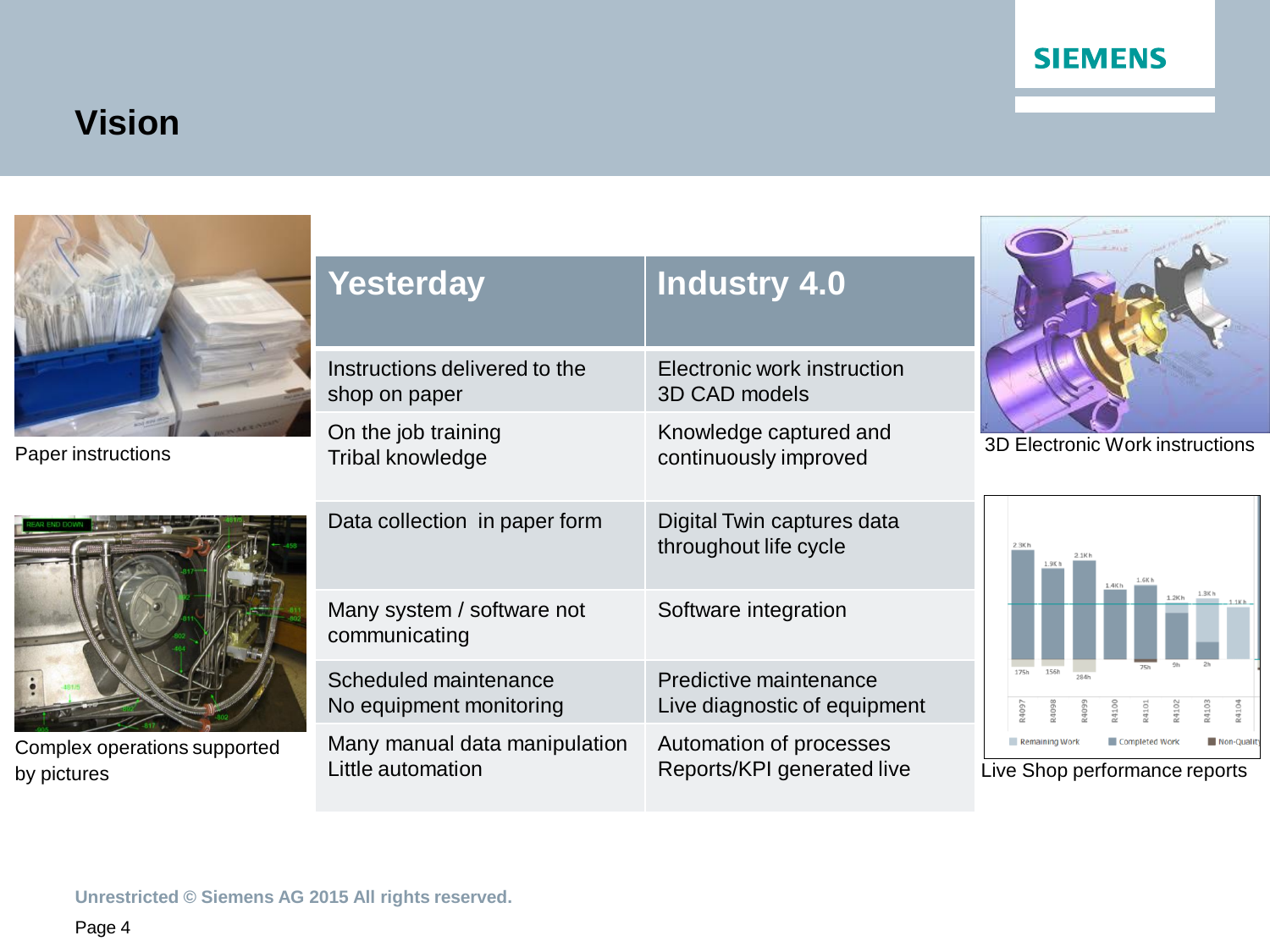#### **SIEMENS**

# **Vision**



Paper instructions



Complex operations supported by pictures

| <b>Yesterday</b>                            | <b>Industry 4.0</b>                                 |
|---------------------------------------------|-----------------------------------------------------|
| Instructions delivered to the               | Electronic work instruction                         |
| shop on paper                               | 3D CAD models                                       |
| On the job training                         | Knowledge captured and                              |
| Tribal knowledge                            | continuously improved                               |
| Data collection in paper form               | Digital Twin captures data<br>throughout life cycle |
| Many system / software not<br>communicating | Software integration                                |
| Scheduled maintenance                       | Predictive maintenance                              |
| No equipment monitoring                     | Live diagnostic of equipment                        |
| Many manual data manipulation               | Automation of processes                             |
| Little automation                           | Reports/KPI generated live                          |



3D Electronic Work instructions



Live Shop performance reports